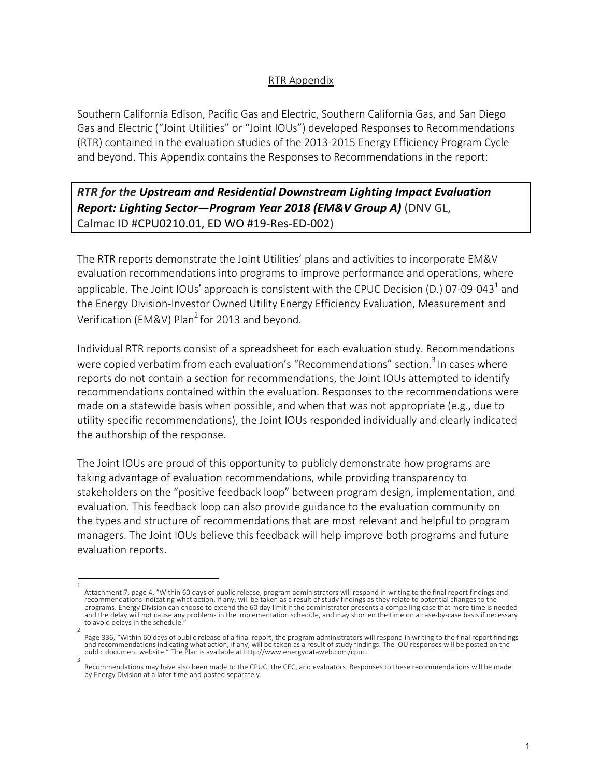## RTR Appendix

Southern California Edison, Pacific Gas and Electric, Southern California Gas, and San Diego Gas and Electric ("Joint Utilities" or "Joint IOUs") developed Responses to Recommendations (RTR) contained in the evaluation studies of the 2013-2015 Energy Efficiency Program Cycle and beyond. This Appendix contains the Responses to Recommendations in the report:

## *RTR for the Upstream and Residential Downstream Lighting Impact Evaluation Report: Lighting Sector—Program Year 2018 (EM&V Group A)* (DNV GL, Calmac ID #CPU0210.01, ED WO #19-Res-ED-002)

The RTR reports demonstrate the Joint Utilities' plans and activities to incorporate EM&V evaluation recommendations into programs to improve performance and operations, where applicable. The Joint IOUs' approach is consistent with the CPUC Decision (D.) 07-09-043<sup>1</sup> and the Energy Division-Investor Owned Utility Energy Efficiency Evaluation, Measurement and Verification (EM&V) Plan<sup>2</sup> for 2013 and beyond.

Individual RTR reports consist of a spreadsheet for each evaluation study. Recommendations were copied verbatim from each evaluation's "Recommendations" section.<sup>3</sup> In cases where reports do not contain a section for recommendations, the Joint IOUs attempted to identify recommendations contained within the evaluation. Responses to the recommendations were made on a statewide basis when possible, and when that was not appropriate (e.g., due to utility-specific recommendations), the Joint IOUs responded individually and clearly indicated the authorship of the response.

The Joint IOUs are proud of this opportunity to publicly demonstrate how programs are taking advantage of evaluation recommendations, while providing transparency to stakeholders on the "positive feedback loop" between program design, implementation, and evaluation. This feedback loop can also provide guidance to the evaluation community on the types and structure of recommendations that are most relevant and helpful to program managers. The Joint IOUs believe this feedback will help improve both programs and future evaluation reports.

<sup>1</sup>  Attachment 7, page 4, "Within 60 days of public release, program administrators will respond in writing to the final report findings and recommendations indicating what action, if any, will be taken as a result of study findings as they relate to potential changes to the programs. Energy Division can choose to extend the 60 day limit if the administrator presents a compelling case that more time is needed and the delay will not cause any problems in the implementation schedule, and may shorten the time on a case-by-case basis if necessary to avoid delays in the schedule.

<sup>2</sup>  Page 336, "Within 60 days of public release of a final report, the program administrators will respond in writing to the final report findings<br>and recommendations indicating what action, if any, will be taken as a result o public document website." The Plan is available at http://www.energydataweb.com/cpuc. 3

Recommendations may have also been made to the CPUC, the CEC, and evaluators. Responses to these recommendations will be made by Energy Division at a later time and posted separately.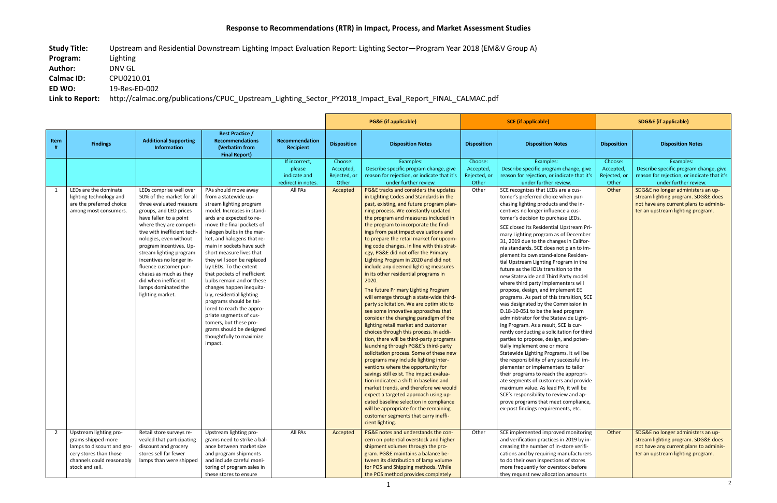**Study Title:** Upstream and Residential Downstream Lighting Impact Evaluation Report: Lighting Sector—Program Year 2018 (EM&V Group A) **Program:** Lighting **Author:** DNV GL **Calmac ID:** CPU0210.01 **ED WO:** 19-Res-ED-002

**Link to Report:** http://calmac.org/publications/CPUC\_Upstream\_Lighting\_Sector\_PY2018\_Impact\_Eval\_Report\_FINAL\_CALMAC.pdf

|      |                                                                                                                                                      |                                                                                                                                                                                                                                                                                                                                                                                                                                 |                                                                                                                                                                                                                                                                                                                                                                                                                                                                                                                                                                                                                                                 |                                                               |                                               | <b>PG&amp;E (if applicable)</b>                                                                                                                                                                                                                                                                                                                                                                                                                                                                                                                                                                                                                                                                                                                                                                                                                                                                                                                                                                                                                                                                                                                                                                                                                                                                                                                                                              | <b>SCE</b> (if applicable)                    |                                                                                                                                                                                                                                                                                                                                                                                                                                                                                                                                                                                                                                                                                                                                                                                                                                                                                                                                                                                                                                                                                                                                                                                                                                                                                                                                              | <b>SDG&amp;E</b> (if applicable)              |                                                                                                                                                          |
|------|------------------------------------------------------------------------------------------------------------------------------------------------------|---------------------------------------------------------------------------------------------------------------------------------------------------------------------------------------------------------------------------------------------------------------------------------------------------------------------------------------------------------------------------------------------------------------------------------|-------------------------------------------------------------------------------------------------------------------------------------------------------------------------------------------------------------------------------------------------------------------------------------------------------------------------------------------------------------------------------------------------------------------------------------------------------------------------------------------------------------------------------------------------------------------------------------------------------------------------------------------------|---------------------------------------------------------------|-----------------------------------------------|----------------------------------------------------------------------------------------------------------------------------------------------------------------------------------------------------------------------------------------------------------------------------------------------------------------------------------------------------------------------------------------------------------------------------------------------------------------------------------------------------------------------------------------------------------------------------------------------------------------------------------------------------------------------------------------------------------------------------------------------------------------------------------------------------------------------------------------------------------------------------------------------------------------------------------------------------------------------------------------------------------------------------------------------------------------------------------------------------------------------------------------------------------------------------------------------------------------------------------------------------------------------------------------------------------------------------------------------------------------------------------------------|-----------------------------------------------|----------------------------------------------------------------------------------------------------------------------------------------------------------------------------------------------------------------------------------------------------------------------------------------------------------------------------------------------------------------------------------------------------------------------------------------------------------------------------------------------------------------------------------------------------------------------------------------------------------------------------------------------------------------------------------------------------------------------------------------------------------------------------------------------------------------------------------------------------------------------------------------------------------------------------------------------------------------------------------------------------------------------------------------------------------------------------------------------------------------------------------------------------------------------------------------------------------------------------------------------------------------------------------------------------------------------------------------------|-----------------------------------------------|----------------------------------------------------------------------------------------------------------------------------------------------------------|
| Item | <b>Findings</b>                                                                                                                                      | <b>Additional Supporting</b><br><b>Information</b>                                                                                                                                                                                                                                                                                                                                                                              | <b>Best Practice /</b><br><b>Recommendations</b><br>(Verbatim from<br><b>Final Report)</b>                                                                                                                                                                                                                                                                                                                                                                                                                                                                                                                                                      | Recommendation<br><b>Recipient</b>                            | <b>Disposition</b>                            | <b>Disposition Notes</b>                                                                                                                                                                                                                                                                                                                                                                                                                                                                                                                                                                                                                                                                                                                                                                                                                                                                                                                                                                                                                                                                                                                                                                                                                                                                                                                                                                     | <b>Disposition</b>                            | <b>Disposition Notes</b>                                                                                                                                                                                                                                                                                                                                                                                                                                                                                                                                                                                                                                                                                                                                                                                                                                                                                                                                                                                                                                                                                                                                                                                                                                                                                                                     | <b>Disposition</b>                            | <b>Disposition Notes</b>                                                                                                                                 |
|      |                                                                                                                                                      |                                                                                                                                                                                                                                                                                                                                                                                                                                 |                                                                                                                                                                                                                                                                                                                                                                                                                                                                                                                                                                                                                                                 | If incorrect,<br>please<br>indicate and<br>redirect in notes. | Choose:<br>Accepted,<br>Rejected, or<br>Other | Examples:<br>Describe specific program change, give<br>reason for rejection, or indicate that it's<br>under further review.                                                                                                                                                                                                                                                                                                                                                                                                                                                                                                                                                                                                                                                                                                                                                                                                                                                                                                                                                                                                                                                                                                                                                                                                                                                                  | Choose:<br>Accepted,<br>Rejected, or<br>Other | Examples:<br>Describe specific program change, give<br>reason for rejection, or indicate that it's<br>under further review.                                                                                                                                                                                                                                                                                                                                                                                                                                                                                                                                                                                                                                                                                                                                                                                                                                                                                                                                                                                                                                                                                                                                                                                                                  | Choose:<br>Accepted,<br>Rejected, or<br>Other | Examples:<br>Describe specific program change, give<br>reason for rejection, or indicate that it's<br>under further review.                              |
| 1    | LEDs are the dominate<br>lighting technology and<br>are the preferred choice<br>among most consumers.                                                | LEDs comprise well over<br>50% of the market for all<br>three evaluated measure<br>groups, and LED prices<br>have fallen to a point<br>where they are competi-<br>tive with inefficient tech-<br>nologies, even without<br>program incentives. Up-<br>stream lighting program<br>incentives no longer in-<br>fluence customer pur-<br>chases as much as they<br>did when inefficient<br>lamps dominated the<br>lighting market. | PAs should move away<br>from a statewide up-<br>stream lighting program<br>model. Increases in stand-<br>ards are expected to re-<br>move the final pockets of<br>halogen bulbs in the mar-<br>ket, and halogens that re-<br>main in sockets have such<br>short measure lives that<br>they will soon be replaced<br>by LEDs. To the extent<br>that pockets of inefficient<br>bulbs remain and or these<br>changes happen inequita-<br>bly, residential lighting<br>programs should be tai-<br>lored to reach the appro-<br>priate segments of cus-<br>tomers, but these pro-<br>grams should be designed<br>thoughtfully to maximize<br>impact. | All PAs                                                       | Accepted                                      | PG&E tracks and considers the updates<br>in Lighting Codes and Standards in the<br>past, existing, and future program plan-<br>ning process. We constantly updated<br>the program and measures included in<br>the program to incorporate the find-<br>ings from past impact evaluations and<br>to prepare the retail market for upcom-<br>ing code changes. In line with this strat-<br>egy, PG&E did not offer the Primary<br>Lighting Program in 2020 and did not<br>include any deemed lighting measures<br>in its other residential programs in<br>2020.<br>The future Primary Lighting Program<br>will emerge through a state-wide third-<br>party solicitation. We are optimistic to<br>see some innovative approaches that<br>consider the changing paradigm of the<br>lighting retail market and customer<br>choices through this process. In addi-<br>tion, there will be third-party programs<br>launching through PG&E's third-party<br>solicitation process. Some of these new<br>programs may include lighting inter-<br>ventions where the opportunity for<br>savings still exist. The impact evalua-<br>tion indicated a shift in baseline and<br>market trends, and therefore we would<br>expect a targeted approach using up-<br>dated baseline selection in compliance<br>will be appropriate for the remaining<br>customer segments that carry ineffi-<br>cient lighting. | Other                                         | SCE recognizes that LEDs are a cus-<br>tomer's preferred choice when pur-<br>chasing lighting products and the in-<br>centives no longer influence a cus-<br>tomer's decision to purchase LEDs.<br>SCE closed its Residential Upstream Pri-<br>mary Lighting program as of December<br>31, 2019 due to the changes in Califor-<br>nia standards. SCE does not plan to im-<br>plement its own stand-alone Residen-<br>tial Upstream Lighting Program in the<br>future as the IOUs transition to the<br>new Statewide and Third Party model<br>where third party implementers will<br>propose, design, and implement EE<br>programs. As part of this transition, SCE<br>was designated by the Commission in<br>D.18-10-051 to be the lead program<br>administrator for the Statewide Light-<br>ing Program. As a result, SCE is cur-<br>rently conducting a solicitation for third<br>parties to propose, design, and poten-<br>tially implement one or more<br>Statewide Lighting Programs. It will be<br>the responsibility of any successful im-<br>plementer or implementers to tailor<br>their programs to reach the appropri-<br>ate segments of customers and provide<br>maximum value. As lead PA, it will be<br>SCE's responsibility to review and ap-<br>prove programs that meet compliance,<br>ex-post findings requirements, etc. | Other                                         | SDG&E no longer administers an up-<br>stream lighting program. SDG&E does<br>not have any current plans to adminis-<br>ter an upstream lighting program. |
| 2    | Upstream lighting pro-<br>grams shipped more<br>lamps to discount and gro-<br>cery stores than those<br>channels could reasonably<br>stock and sell. | Retail store surveys re-<br>vealed that participating<br>discount and grocery<br>stores sell far fewer<br>lamps than were shipped                                                                                                                                                                                                                                                                                               | Upstream lighting pro-<br>grams need to strike a bal-<br>ance between market size<br>and program shipments<br>and include careful moni-<br>toring of program sales in<br>these stores to ensure                                                                                                                                                                                                                                                                                                                                                                                                                                                 | All PAs                                                       | Accepted                                      | PG&E notes and understands the con-<br>cern on potential overstock and higher<br>shipment volumes through the pro-<br>gram. PG&E maintains a balance be-<br>tween its distribution of lamp volume<br>for POS and Shipping methods. While<br>the POS method provides completely                                                                                                                                                                                                                                                                                                                                                                                                                                                                                                                                                                                                                                                                                                                                                                                                                                                                                                                                                                                                                                                                                                               | Other                                         | SCE implemented improved monitoring<br>and verification practices in 2019 by in-<br>creasing the number of in-store verifi-<br>cations and by requiring manufacturers<br>to do their own inspections of stores<br>more frequently for overstock before<br>they request new allocation amounts                                                                                                                                                                                                                                                                                                                                                                                                                                                                                                                                                                                                                                                                                                                                                                                                                                                                                                                                                                                                                                                | Other                                         | SDG&E no longer administers an up-<br>stream lighting program. SDG&E does<br>not have any current plans to adminis-<br>ter an upstream lighting program. |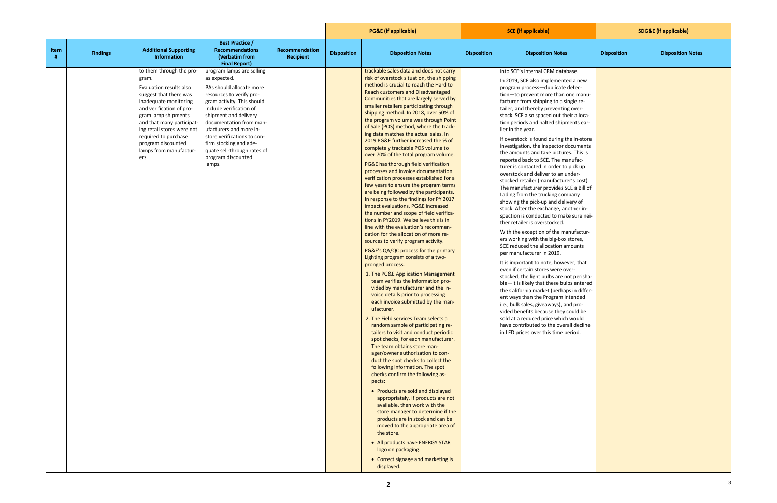|                                                                                                                                                                                                                                                                                                               |                                                                                                                                                                                                                                                                                                                                                                   |                                    | <b>PG&amp;E</b> (if applicable) |                                                                                                                                                                                                                                                                                                                                                                                                                                                                                                                                                                                                                                                                                                                                                                                                                                                                                                                                                                                                                                                                                                                                                                                                                                                                                                                                                                                                                                                                                                                                                                                                                                                                                                                                                                                                                                                                                                                                                                                                                                                                                            | <b>SCE</b> (if applicable)                                                                                                                                                                                                                                                                                                                                                                                                                                                                                                                                                                                                                                                                                                                                                                                                                                                                                                                                                                                                                                                                                                                                                                                                                                                                                                                                                                                                                                                                                                 | <b>SDG&amp;E (if applicable)</b> |                          |
|---------------------------------------------------------------------------------------------------------------------------------------------------------------------------------------------------------------------------------------------------------------------------------------------------------------|-------------------------------------------------------------------------------------------------------------------------------------------------------------------------------------------------------------------------------------------------------------------------------------------------------------------------------------------------------------------|------------------------------------|---------------------------------|--------------------------------------------------------------------------------------------------------------------------------------------------------------------------------------------------------------------------------------------------------------------------------------------------------------------------------------------------------------------------------------------------------------------------------------------------------------------------------------------------------------------------------------------------------------------------------------------------------------------------------------------------------------------------------------------------------------------------------------------------------------------------------------------------------------------------------------------------------------------------------------------------------------------------------------------------------------------------------------------------------------------------------------------------------------------------------------------------------------------------------------------------------------------------------------------------------------------------------------------------------------------------------------------------------------------------------------------------------------------------------------------------------------------------------------------------------------------------------------------------------------------------------------------------------------------------------------------------------------------------------------------------------------------------------------------------------------------------------------------------------------------------------------------------------------------------------------------------------------------------------------------------------------------------------------------------------------------------------------------------------------------------------------------------------------------------------------------|----------------------------------------------------------------------------------------------------------------------------------------------------------------------------------------------------------------------------------------------------------------------------------------------------------------------------------------------------------------------------------------------------------------------------------------------------------------------------------------------------------------------------------------------------------------------------------------------------------------------------------------------------------------------------------------------------------------------------------------------------------------------------------------------------------------------------------------------------------------------------------------------------------------------------------------------------------------------------------------------------------------------------------------------------------------------------------------------------------------------------------------------------------------------------------------------------------------------------------------------------------------------------------------------------------------------------------------------------------------------------------------------------------------------------------------------------------------------------------------------------------------------------|----------------------------------|--------------------------|
| Item<br><b>Additional Supporting</b><br><b>Findings</b><br>Information                                                                                                                                                                                                                                        | <b>Best Practice /</b><br><b>Recommendations</b><br>(Verbatim from<br><b>Final Report)</b>                                                                                                                                                                                                                                                                        | Recommendation<br><b>Recipient</b> | <b>Disposition</b>              | <b>Disposition Notes</b>                                                                                                                                                                                                                                                                                                                                                                                                                                                                                                                                                                                                                                                                                                                                                                                                                                                                                                                                                                                                                                                                                                                                                                                                                                                                                                                                                                                                                                                                                                                                                                                                                                                                                                                                                                                                                                                                                                                                                                                                                                                                   | <b>Disposition Notes</b><br><b>Disposition</b>                                                                                                                                                                                                                                                                                                                                                                                                                                                                                                                                                                                                                                                                                                                                                                                                                                                                                                                                                                                                                                                                                                                                                                                                                                                                                                                                                                                                                                                                             | <b>Disposition</b>               | <b>Disposition Notes</b> |
| to them through the pro-<br>gram.<br>Evaluation results also<br>suggest that there was<br>inadequate monitoring<br>and verification of pro-<br>gram lamp shipments<br>and that many participat-<br>ing retail stores were not<br>required to purchase<br>program discounted<br>lamps from manufactur-<br>ers. | program lamps are selling<br>as expected.<br>PAs should allocate more<br>resources to verify pro-<br>gram activity. This should<br>include verification of<br>shipment and delivery<br>documentation from man-<br>ufacturers and more in-<br>store verifications to con-<br>firm stocking and ade-<br>quate sell-through rates of<br>program discounted<br>lamps. |                                    |                                 | trackable sales data and does not carry<br>risk of overstock situation, the shipping<br>method is crucial to reach the Hard to<br>Reach customers and Disadvantaged<br>Communities that are largely served by<br>smaller retailers participating through<br>shipping method. In 2018, over 50% of<br>the program volume was through Point<br>of Sale (POS) method, where the track-<br>ing data matches the actual sales. In<br>2019 PG&E further increased the % of<br>completely trackable POS volume to<br>over 70% of the total program volume.<br>PG&E has thorough field verification<br>processes and invoice documentation<br>verification processes established for a<br>few years to ensure the program terms<br>are being followed by the participants.<br>In response to the findings for PY 2017<br>impact evaluations, PG&E increased<br>the number and scope of field verifica-<br>tions in PY2019. We believe this is in<br>line with the evaluation's recommen-<br>dation for the allocation of more re-<br>sources to verify program activity.<br>PG&E's QA/QC process for the primary<br>Lighting program consists of a two-<br>pronged process.<br>1. The PG&E Application Management<br>team verifies the information pro-<br>vided by manufacturer and the in-<br>voice details prior to processing<br>each invoice submitted by the man-<br>ufacturer.<br>2. The Field services Team selects a<br>random sample of participating re-<br>tailers to visit and conduct periodic<br>spot checks, for each manufacturer.<br>The team obtains store man-<br>ager/owner authorization to con-<br>duct the spot checks to collect the<br>following information. The spot<br>checks confirm the following as-<br>pects:<br>• Products are sold and displayed<br>appropriately. If products are not<br>available, then work with the<br>store manager to determine if the<br>products are in stock and can be<br>moved to the appropriate area of<br>the store.<br>• All products have ENERGY STAR<br>logo on packaging.<br>• Correct signage and marketing is<br>displayed. | into SCE's internal CRM database.<br>In 2019, SCE also implemented a new<br>program process-duplicate detec-<br>tion-to prevent more than one manu-<br>facturer from shipping to a single re-<br>tailer, and thereby preventing over-<br>stock. SCE also spaced out their alloca-<br>tion periods and halted shipments ear-<br>lier in the year.<br>If overstock is found during the in-store<br>investigation, the inspector documents<br>the amounts and take pictures. This is<br>reported back to SCE. The manufac-<br>turer is contacted in order to pick up<br>overstock and deliver to an under-<br>stocked retailer (manufacturer's cost).<br>The manufacturer provides SCE a Bill of<br>Lading from the trucking company<br>showing the pick-up and delivery of<br>stock. After the exchange, another in-<br>spection is conducted to make sure nei-<br>ther retailer is overstocked.<br>With the exception of the manufactur-<br>ers working with the big-box stores,<br>SCE reduced the allocation amounts<br>per manufacturer in 2019.<br>It is important to note, however, that<br>even if certain stores were over-<br>stocked, the light bulbs are not perisha-<br>ble-it is likely that these bulbs entered<br>the California market (perhaps in differ-<br>ent ways than the Program intended<br>i.e., bulk sales, giveaways), and pro-<br>vided benefits because they could be<br>sold at a reduced price which would<br>have contributed to the overall decline<br>in LED prices over this time period. |                                  |                          |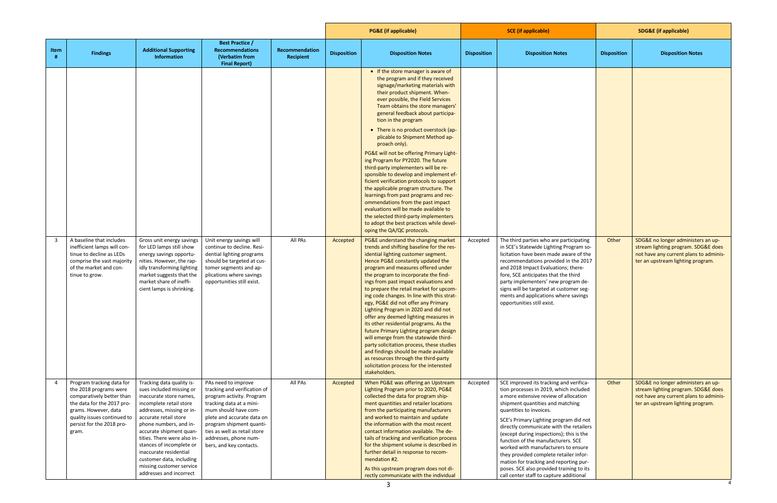|                |                                                                                                                                                                                                             |                                                                                                                                                                                                                                                                                                                                                                                                |                                                                                                                                                                                                                                                                                    |                             |                    | <b>PG&amp;E</b> (if applicable)                                                                                                                                                                                                                                                                                                                                                                                                                                                                                                                                                                                                                                                                                                                                                                                                                                                                                         |                    | <b>SCE</b> (if applicable)                                                                                                                                                                                                                                                                                                                                                                                                                                                                                                                                                         |                    | <b>SDG&amp;E</b> (if applicable)                                                                                                                         |  |
|----------------|-------------------------------------------------------------------------------------------------------------------------------------------------------------------------------------------------------------|------------------------------------------------------------------------------------------------------------------------------------------------------------------------------------------------------------------------------------------------------------------------------------------------------------------------------------------------------------------------------------------------|------------------------------------------------------------------------------------------------------------------------------------------------------------------------------------------------------------------------------------------------------------------------------------|-----------------------------|--------------------|-------------------------------------------------------------------------------------------------------------------------------------------------------------------------------------------------------------------------------------------------------------------------------------------------------------------------------------------------------------------------------------------------------------------------------------------------------------------------------------------------------------------------------------------------------------------------------------------------------------------------------------------------------------------------------------------------------------------------------------------------------------------------------------------------------------------------------------------------------------------------------------------------------------------------|--------------------|------------------------------------------------------------------------------------------------------------------------------------------------------------------------------------------------------------------------------------------------------------------------------------------------------------------------------------------------------------------------------------------------------------------------------------------------------------------------------------------------------------------------------------------------------------------------------------|--------------------|----------------------------------------------------------------------------------------------------------------------------------------------------------|--|
| Item           | <b>Findings</b>                                                                                                                                                                                             | <b>Additional Supporting</b><br>Information                                                                                                                                                                                                                                                                                                                                                    | <b>Best Practice /</b><br><b>Recommendations</b><br>(Verbatim from<br><b>Final Report)</b>                                                                                                                                                                                         | Recommendation<br>Recipient | <b>Disposition</b> | <b>Disposition Notes</b>                                                                                                                                                                                                                                                                                                                                                                                                                                                                                                                                                                                                                                                                                                                                                                                                                                                                                                | <b>Disposition</b> | <b>Disposition Notes</b>                                                                                                                                                                                                                                                                                                                                                                                                                                                                                                                                                           | <b>Disposition</b> | <b>Disposition Notes</b>                                                                                                                                 |  |
| $\overline{3}$ | A baseline that includes                                                                                                                                                                                    | Gross unit energy savings                                                                                                                                                                                                                                                                                                                                                                      | Unit energy savings will                                                                                                                                                                                                                                                           | All PAs                     | Accepted           | • If the store manager is aware of<br>the program and if they received<br>signage/marketing materials with<br>their product shipment. When-<br>ever possible, the Field Services<br>Team obtains the store managers'<br>general feedback about participa-<br>tion in the program<br>• There is no product overstock (ap-<br>plicable to Shipment Method ap-<br>proach only).<br>PG&E will not be offering Primary Light-<br>ing Program for PY2020. The future<br>third-party implementers will be re-<br>sponsible to develop and implement ef-<br>ficient verification protocols to support<br>the applicable program structure. The<br>learnings from past programs and rec-<br>ommendations from the past impact<br>evaluations will be made available to<br>the selected third-party implementers<br>to adopt the best practices while devel-<br>oping the QA/QC protocols.<br>PG&E understand the changing market | Accepted           | The third parties who are participating                                                                                                                                                                                                                                                                                                                                                                                                                                                                                                                                            | Other              | SDG&E no longer administers an up-                                                                                                                       |  |
|                | inefficient lamps will con-<br>tinue to decline as LEDs<br>comprise the vast majority<br>of the market and con-<br>tinue to grow.                                                                           | for LED lamps still show<br>energy savings opportu-<br>nities. However, the rap-<br>idly transforming lighting<br>market suggests that the<br>market share of ineffi-<br>cient lamps is shrinking.                                                                                                                                                                                             | continue to decline. Resi-<br>dential lighting programs<br>should be targeted at cus-<br>tomer segments and ap-<br>plications where savings<br>opportunities still exist.                                                                                                          |                             |                    | trends and shifting baseline for the res-<br>idential lighting customer segment.<br>Hence PG&E constantly updated the<br>program and measures offered under<br>the program to incorporate the find-<br>ings from past impact evaluations and<br>to prepare the retail market for upcom-<br>ing code changes. In line with this strat-<br>egy, PG&E did not offer any Primary<br>Lighting Program in 2020 and did not<br>offer any deemed lighting measures in<br>its other residential programs. As the<br>future Primary Lighting program design<br>will emerge from the statewide third-<br>party solicitation process, these studies<br>and findings should be made available<br>as resources through the third-party<br>solicitation process for the interested<br>stakeholders.                                                                                                                                    |                    | in SCE's Statewide Lighting Program so-<br>licitation have been made aware of the<br>recommendations provided in the 2017<br>and 2018 Impact Evaluations; there-<br>fore, SCE anticipates that the third<br>party implementers' new program de-<br>signs will be targeted at customer seg-<br>ments and applications where savings<br>opportunities still exist.                                                                                                                                                                                                                   |                    | stream lighting program. SDG&E does<br>not have any current plans to adminis-<br>ter an upstream lighting program.                                       |  |
| $\overline{4}$ | Program tracking data for<br>the 2018 programs were<br>comparatively better than<br>the data for the 2017 pro-<br>grams. However, data<br>quality issues continued to<br>persist for the 2018 pro-<br>gram. | Tracking data quality is-<br>sues included missing or<br>inaccurate store names,<br>incomplete retail store<br>addresses, missing or in-<br>accurate retail store<br>phone numbers, and in-<br>accurate shipment quan-<br>tities. There were also in-<br>stances of incomplete or<br>inaccurate residential<br>customer data, including<br>missing customer service<br>addresses and incorrect | PAs need to improve<br>tracking and verification of<br>program activity. Program<br>tracking data at a mini-<br>mum should have com-<br>plete and accurate data on<br>program shipment quanti-<br>ties as well as retail store<br>addresses, phone num-<br>bers, and key contacts. | All PAs                     | Accepted           | When PG&E was offering an Upstream<br>Lighting Program prior to 2020, PG&E<br>collected the data for program ship-<br>ment quantities and retailer locations<br>from the participating manufacturers<br>and worked to maintain and update<br>the information with the most recent<br>contact information available. The de-<br>tails of tracking and verification process<br>for the shipment volume is described in<br>further detail in response to recom-<br>mendation #2.<br>As this upstream program does not di-<br>rectly communicate with the individual                                                                                                                                                                                                                                                                                                                                                        | Accepted           | SCE improved its tracking and verifica-<br>tion processes in 2019, which included<br>a more extensive review of allocation<br>shipment quantities and matching<br>quantities to invoices.<br>SCE's Primary Lighting program did not<br>directly communicate with the retailers<br>(except during inspections); this is the<br>function of the manufacturers. SCE<br>worked with manufacturers to ensure<br>they provided complete retailer infor-<br>mation for tracking and reporting pur-<br>poses. SCE also provided training to its<br>call center staff to capture additional | Other              | SDG&E no longer administers an up-<br>stream lighting program. SDG&E does<br>not have any current plans to adminis-<br>ter an upstream lighting program. |  |